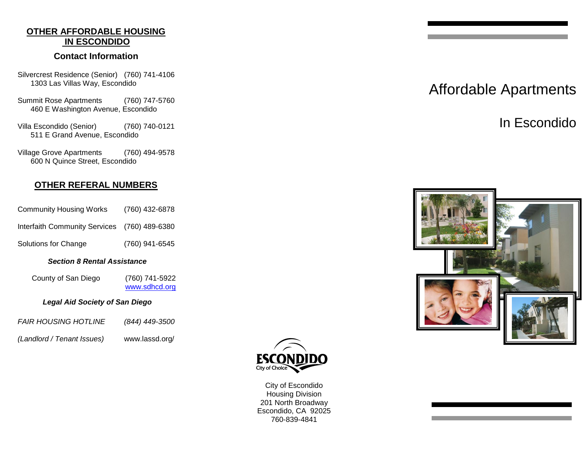# **OTHER AFFORDABLE HOUSING IN ESCONDIDO**

### **Contact Information**

- Silvercrest Residence (Senior) (760) 741-4106 1303 Las Villas Way, Escondido
- Summit Rose Apartments (760) 747-5760 460 E Washington Avenue, Escondido
- Villa Escondido (Senior) (760) 740-0121 511 E Grand Avenue, Escondido
- Village Grove Apartments (760) 494-9578 600 N Quince Street, Escondido

# **OTHER REFERAL NUMBERS**

- Community Housing Works (760) 432-6878 Interfaith Community Services (760) 489-6380
- Solutions for Change (760) 941-6545

#### *Section 8 Rental Assistance*

County of San Diego (760) 741-5922 [www.sdhcd.org](http://www.sdhcd.org/)

#### *Legal Aid Society of San Diego*

| <b>FAIR HOUSING HOTLINE</b> | (844) 449-3500 |
|-----------------------------|----------------|
|                             |                |

*(Landlord / Tenant Issues)* www.lassd.org/



City of Escondido Housing Division 201 North Broadway Escondido, CA 92025 760-839-4841

# Affordable Apartments

In Escondido